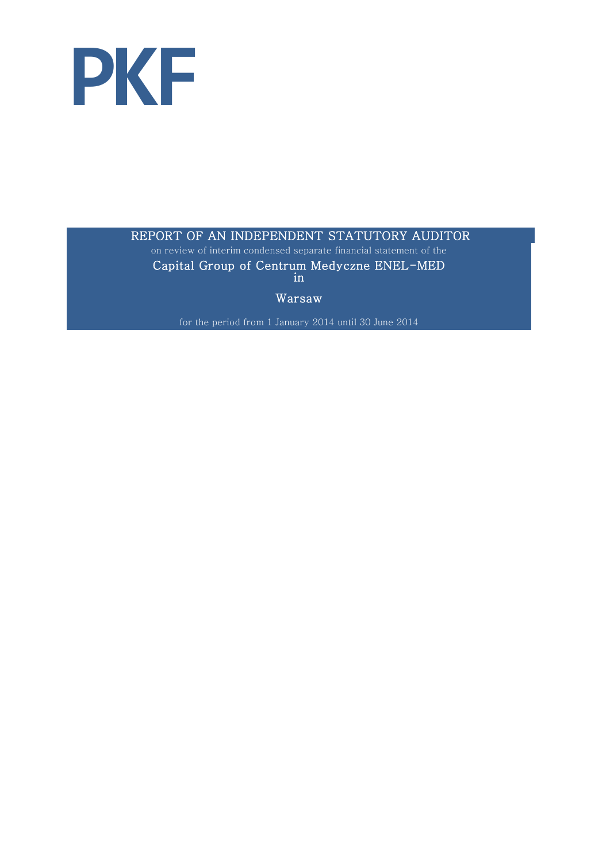

## REPORT OF AN INDEPENDENT STATUTORY AUDITOR

on review of interim condensed separate financial statement of the Capital Group of Centrum Medyczne ENEL-MED in

Warsaw

for the period from 1 January 2014 until 30 June 2014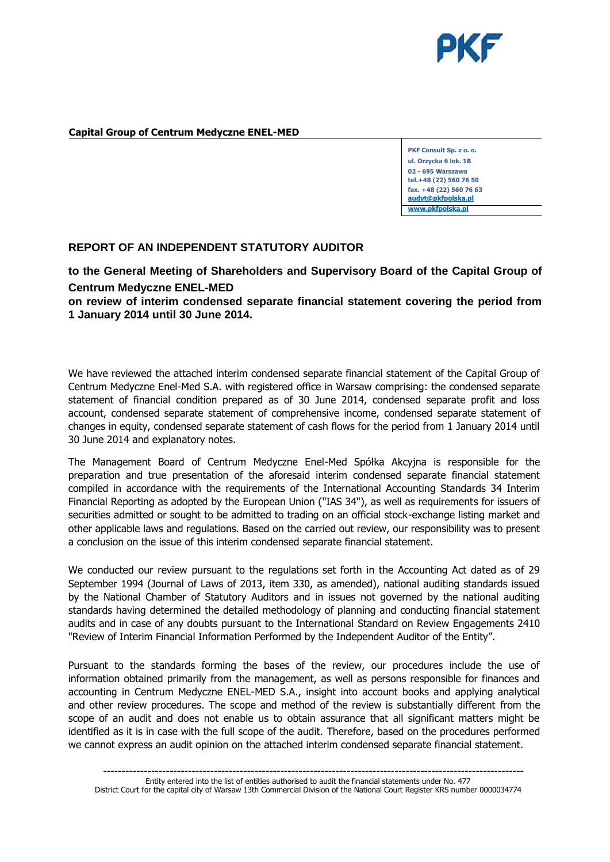

## **Capital Group of Centrum Medyczne ENEL-MED**

**PKF Consult Sp. z o. o. ul. Orzycka 6 lok. 1B 02 - 695 Warszawa tel.+48 (22) 560 76 50 fax. +48 (22) 560 76 63 [audyt@pkfpolska.pl](mailto:audyt@pkfpolska.pl) [www.pkfpolska.pl](http://www.pkfpolska.pl/)**

## **REPORT OF AN INDEPENDENT STATUTORY AUDITOR**

**to the General Meeting of Shareholders and Supervisory Board of the Capital Group of Centrum Medyczne ENEL-MED**

**on review of interim condensed separate financial statement covering the period from 1 January 2014 until 30 June 2014.**

We have reviewed the attached interim condensed separate financial statement of the Capital Group of Centrum Medyczne Enel-Med S.A. with registered office in Warsaw comprising: the condensed separate statement of financial condition prepared as of 30 June 2014, condensed separate profit and loss account, condensed separate statement of comprehensive income, condensed separate statement of changes in equity, condensed separate statement of cash flows for the period from 1 January 2014 until 30 June 2014 and explanatory notes.

The Management Board of Centrum Medyczne Enel-Med Spółka Akcyjna is responsible for the preparation and true presentation of the aforesaid interim condensed separate financial statement compiled in accordance with the requirements of the International Accounting Standards 34 Interim Financial Reporting as adopted by the European Union ("IAS 34"), as well as requirements for issuers of securities admitted or sought to be admitted to trading on an official stock-exchange listing market and other applicable laws and regulations. Based on the carried out review, our responsibility was to present a conclusion on the issue of this interim condensed separate financial statement.

We conducted our review pursuant to the regulations set forth in the Accounting Act dated as of 29 September 1994 (Journal of Laws of 2013, item 330, as amended), national auditing standards issued by the National Chamber of Statutory Auditors and in issues not governed by the national auditing standards having determined the detailed methodology of planning and conducting financial statement audits and in case of any doubts pursuant to the International Standard on Review Engagements 2410 "Review of Interim Financial Information Performed by the Independent Auditor of the Entity".

Pursuant to the standards forming the bases of the review, our procedures include the use of information obtained primarily from the management, as well as persons responsible for finances and accounting in Centrum Medyczne ENEL-MED S.A., insight into account books and applying analytical and other review procedures. The scope and method of the review is substantially different from the scope of an audit and does not enable us to obtain assurance that all significant matters might be identified as it is in case with the full scope of the audit. Therefore, based on the procedures performed we cannot express an audit opinion on the attached interim condensed separate financial statement.